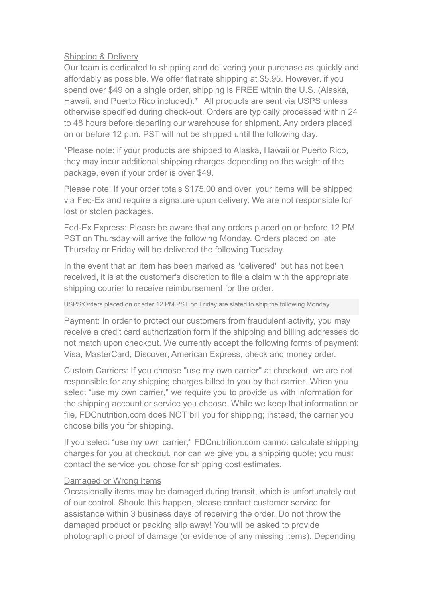## Shipping & Delivery

Our team is dedicated to shipping and delivering your purchase as quickly and affordably as possible. We offer flat rate shipping at \$5.95. However, if you spend over \$49 on a single order, shipping is FREE within the U.S. (Alaska, Hawaii, and Puerto Rico included).\* All products are sent via USPS unless otherwise specified during check-out. Orders are typically processed within 24 to 48 hours before departing our warehouse for shipment. Any orders placed on or before 12 p.m. PST will not be shipped until the following day.

\*Please note: if your products are shipped to Alaska, Hawaii or Puerto Rico, they may incur additional shipping charges depending on the weight of the package, even if your order is over \$49.

Please note: If your order totals \$175.00 and over, your items will be shipped via Fed-Ex and require a signature upon delivery. We are not responsible for lost or stolen packages.

Fed-Ex Express: Please be aware that any orders placed on or before 12 PM PST on Thursday will arrive the following Monday. Orders placed on late Thursday or Friday will be delivered the following Tuesday.

In the event that an item has been marked as "delivered" but has not been received, it is at the customer's discretion to file a claim with the appropriate shipping courier to receive reimbursement for the order.

USPS:Orders placed on or after 12 PM PST on Friday are slated to ship the following Monday.

Payment: In order to protect our customers from fraudulent activity, you may receive a credit card authorization form if the shipping and billing addresses do not match upon checkout. We currently accept the following forms of payment: Visa, MasterCard, Discover, American Express, check and money order.

Custom Carriers: If you choose "use my own carrier" at checkout, we are not responsible for any shipping charges billed to you by that carrier. When you select "use my own carrier," we require you to provide us with information for the shipping account or service you choose. While we keep that information on file, FDCnutrition.com does NOT bill you for shipping; instead, the carrier you choose bills you for shipping.

If you select "use my own carrier," FDCnutrition.com cannot calculate shipping charges for you at checkout, nor can we give you a shipping quote; you must contact the service you chose for shipping cost estimates.

# Damaged or Wrong Items

Occasionally items may be damaged during transit, which is unfortunately out of our control. Should this happen, please contact customer service for assistance within 3 business days of receiving the order. Do not throw the damaged product or packing slip away! You will be asked to provide photographic proof of damage (or evidence of any missing items). Depending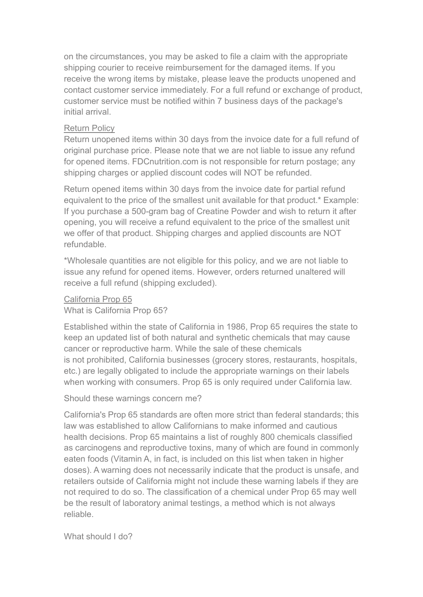on the circumstances, you may be asked to file a claim with the appropriate shipping courier to receive reimbursement for the damaged items. If you receive the wrong items by mistake, please leave the products unopened and contact customer service immediately. For a full refund or exchange of product, customer service must be notified within 7 business days of the package's initial arrival.

# Return Policy

Return unopened items within 30 days from the invoice date for a full refund of original purchase price. Please note that we are not liable to issue any refund for opened items. FDCnutrition.com is not responsible for return postage; any shipping charges or applied discount codes will NOT be refunded.

Return opened items within 30 days from the invoice date for partial refund equivalent to the price of the smallest unit available for that product.\* Example: If you purchase a 500-gram bag of Creatine Powder and wish to return it after opening, you will receive a refund equivalent to the price of the smallest unit we offer of that product. Shipping charges and applied discounts are NOT refundable.

\*Wholesale quantities are not eligible for this policy, and we are not liable to issue any refund for opened items. However, orders returned unaltered will receive a full refund (shipping excluded).

California Prop 65 What is California Prop 65?

Established within the state of California in 1986, Prop 65 requires the state to keep an updated list of both natural and synthetic chemicals that may cause cancer or reproductive harm. While the sale of these chemicals is not prohibited, California businesses (grocery stores, restaurants, hospitals, etc.) are legally obligated to include the appropriate warnings on their labels when working with consumers. Prop 65 is only required under California law.

Should these warnings concern me?

California's Prop 65 standards are often more strict than federal standards; this law was established to allow Californians to make informed and cautious health decisions. Prop 65 maintains a list of roughly 800 chemicals classified as carcinogens and reproductive toxins, many of which are found in commonly eaten foods (Vitamin A, in fact, is included on this list when taken in higher doses). A warning does not necessarily indicate that the product is unsafe, and retailers outside of California might not include these warning labels if they are not required to do so. The classification of a chemical under Prop 65 may well be the result of laboratory animal testings, a method which is not always reliable.

What should I do?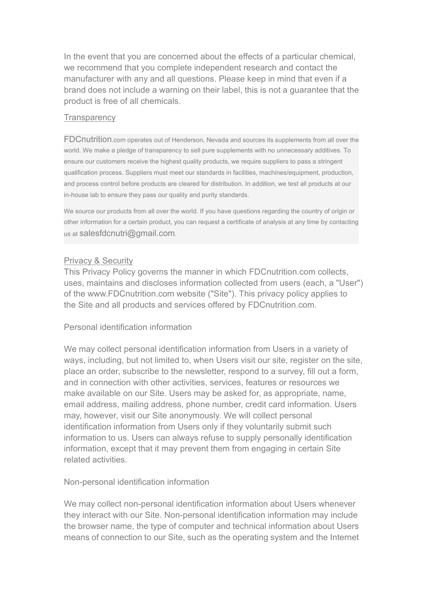In the event that you are concerned about the effects of a particular chemical, we recommend that you complete independent research and contact the manufacturer with any and all questions. Please keep in mind that even if a brand does not include a warning on their label, this is not a guarantee that the product is free of all chemicals.

### **Transparency**

FDCnutrition.com operates out of Henderson, Nevada and sources its supplements from all over the world. We make a pledge of transparency to sell pure supplements with no unnecessary additives. To ensure our customers receive the highest quality products, we require suppliers to pass a stringent qualification process. Suppliers must meet our standards in facilities, machines/equipment, production, and process control before products are cleared for distribution. In addition, we test all products at our in-house lab to ensure they pass our quality and purity standards.

We source our products from all over the world. If you have questions regarding the country of origin or other information for a certain product, you can request a certificate of analysis at any time by contacting us at salesfdcnutri@gmail.com.

## Privacy & Security

This Privacy Policy governs the manner in which FDCnutrition.com collects, uses, maintains and discloses information collected from users (each, a "User") of the www.FDCnutrition.com website ("Site"). This privacy policy applies to the Site and all products and services offered by FDCnutrition.com.

### Personal identification information

We may collect personal identification information from Users in a variety of ways, including, but not limited to, when Users visit our site, register on the site, place an order, subscribe to the newsletter, respond to a survey, fill out a form, and in connection with other activities, services, features or resources we make available on our Site. Users may be asked for, as appropriate, name, email address, mailing address, phone number, credit card information. Users may, however, visit our Site anonymously. We will collect personal identification information from Users only if they voluntarily submit such information to us. Users can always refuse to supply personally identification information, except that it may prevent them from engaging in certain Site related activities.

### Non-personal identification information

We may collect non-personal identification information about Users whenever they interact with our Site. Non-personal identification information may include the browser name, the type of computer and technical information about Users means of connection to our Site, such as the operating system and the Internet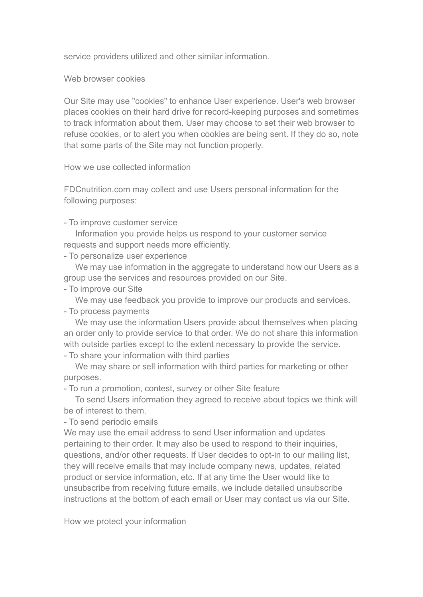service providers utilized and other similar information.

Web browser cookies

Our Site may use "cookies" to enhance User experience. User's web browser places cookies on their hard drive for record-keeping purposes and sometimes to track information about them. User may choose to set their web browser to refuse cookies, or to alert you when cookies are being sent. If they do so, note that some parts of the Site may not function properly.

How we use collected information

FDCnutrition.com may collect and use Users personal information for the following purposes:

- To improve customer service

Information you provide helps us respond to your customer service requests and support needs more efficiently.

- To personalize user experience

We may use information in the aggregate to understand how our Users as a group use the services and resources provided on our Site.

- To improve our Site

We may use feedback you provide to improve our products and services.

- To process payments

We may use the information Users provide about themselves when placing an order only to provide service to that order. We do not share this information with outside parties except to the extent necessary to provide the service.

- To share your information with third parties

We may share or sell information with third parties for marketing or other purposes.

- To run a promotion, contest, survey or other Site feature

To send Users information they agreed to receive about topics we think will be of interest to them.

- To send periodic emails

We may use the email address to send User information and updates pertaining to their order. It may also be used to respond to their inquiries, questions, and/or other requests. If User decides to opt-in to our mailing list, they will receive emails that may include company news, updates, related product or service information, etc. If at any time the User would like to unsubscribe from receiving future emails,we include detailed unsubscribe instructions at the bottom of each email or User may contact us via our Site.

How we protect your information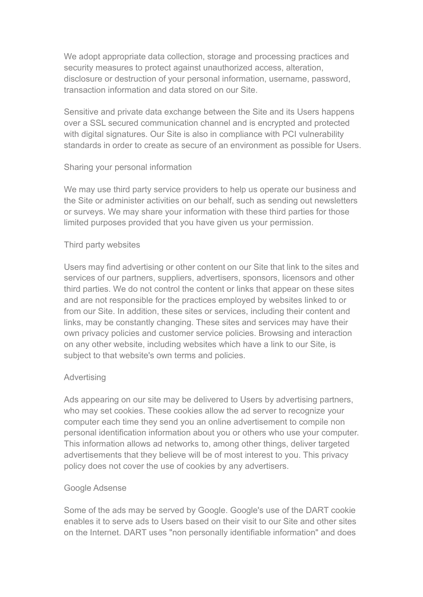We adopt appropriate data collection, storage and processing practices and security measures to protect against unauthorized access, alteration, disclosure or destruction of your personal information, username, password, transaction information and data stored on our Site.

Sensitive and private data exchange between the Site and its Users happens over a SSL secured communication channel and is encrypted and protected with digital signatures. Our Site is also in compliance with PCI vulnerability standards in order to create as secure of an environment as possible for Users.

## Sharing your personal information

We may use third party service providers to help us operate our business and the Site or administer activities on our behalf, such as sending out newsletters or surveys. We may share your information with these third parties for those limited purposes provided that you have given us your permission.

# Third party websites

Users may find advertising or other content on our Site that link to the sites and services of our partners, suppliers, advertisers, sponsors, licensors and other third parties. We do not control the content or links that appear on these sites and are not responsible for the practices employed by websites linked to or from our Site. In addition, these sites or services, including their content and links, may be constantly changing. These sites and services may have their own privacy policies and customer service policies. Browsing and interaction on any other website, including websites which have a link to our Site, is subject to that website's own terms and policies.

# Advertising

Ads appearing on our site may be delivered to Users by advertising partners, who may set cookies. These cookies allow the ad server to recognize your computer each time they send you an online advertisement to compile non personal identification information about you or others who use your computer. This information allows ad networks to, among other things, deliver targeted advertisements that they believe will be of most interest to you. This privacy policy does not cover the use of cookies by any advertisers.

# Google Adsense

Some of the ads may be served by Google. Google's use of the DART cookie enables it to serve ads to Users based on their visit to our Site and other sites on the Internet. DART uses "non personally identifiable information" and does